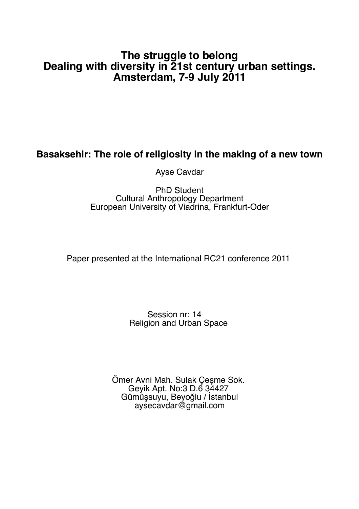# **The struggle to belong Dealing with diversity in 21st century urban settings. Amsterdam, 7-9 July 2011**

# **Basaksehir: The role of religiosity in the making of a new town**

Ayse Cavdar

## PhD Student Cultural Anthropology Department European University of Viadrina, Frankfurt-Oder

Paper presented at the International RC21 conference 2011

# Session nr: 14 Religion and Urban Space

Ömer Avni Mah. Sulak Çeşme Sok. Geyik Apt. No:3 D.6 34427 Gümüşsuyu, Beyoğlu / İstanbul aysecavdar@gmail.com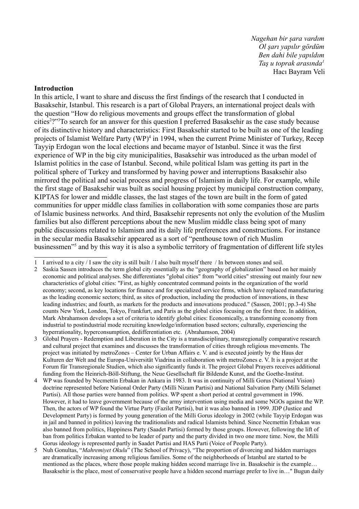*Nagehan bir şara vardım Ol şarı yapılır gördüm Ben dahi bile yapıldım Taş u toprak arasında1* Hacı Bayram Veli

#### **Introduction**

In this article, I want to share and discuss the first findings of the research that I conducted in Basaksehir, Istanbul. This research is a part of Global Prayers, an international project deals with the question "How do religious movements and groups effect the transformation of global cities<sup>2</sup>?"<sup>3</sup>To search for an answer for this question I preferred Basaksehir as the case study because of its distinctive history and characteristics: First Basaksehir started to be built as one of the leading projects of Islamist Welfare Party (WP)<sup>4</sup> in 1994, when the current Prime Minister of Turkey, Recep Tayyip Erdogan won the local elections and became mayor of Istanbul. Since it was the first experience of WP in the big city municipalities, Basaksehir was introduced as the urban model of Islamist politics in the case of Istanbul. Second, while political Islam was getting its part in the political sphere of Turkey and transformed by having power and interruptions Basaksehir also mirrored the political and social process and progress of Islamism in daily life. For example, while the first stage of Basaksehir was built as social housing project by municipal construction company, KIPTAS for lower and middle classes, the last stages of the town are built in the form of gated communities for upper middle class families in collaboration with some companies those are parts of Islamic business networks. And third, Basaksehir represents not only the evolution of the Muslim families but also different perceptions about the new Muslim middle class being spot of many public discussions related to Islamism and its daily life preferences and constructions. For instance in the secular media Basaksehir appeared as a sort of "penthouse town of rich Muslim businessmen"5 and by this way it is also a symbolic territory of fragmentation of different life styles

<sup>1</sup> I arrived to a city / I saw the city is still built / I also built myself there / In between stones and soil.

<sup>2</sup> Saskia Sassen introduces the term global city essentially as the "geography of globalization" based on her mainly economic and political analyses. She differentiates "global cities" from "world cities" stressing out mainly four new characteristics of global cities: "First, as highly concentrated command points in the organization of the world economy; second, as key locations for finance and for specialized service firms, which have replaced manufacturing as the leading economic sectors; third, as sites of production, including the production of innovations, in these leading industries; and fourth, as markets for the products and innovations produced." (Sassen, 2001; pp.3-4) She counts New York, London, Tokyo, Frankfurt, and Paris as the global cities focusing on the first three. In addition, Mark Abrahamson develops a set of criteria to identify global cities: Economically, a transforming economy from industrial to postindustrial mode recruiting knowledge/information based sectors; culturally, experiencing the hyperrationality, hyperconsumption, dedifferentiation etc. (Abrahamson, 2004)

<sup>3</sup> Global Prayers - Redemption and Liberation in the City is a transdisciplinary, transregionally comparative research and cultural project that examines and discusses the transformation of cities through religious movements. The project was initiated by metroZones – Center for Urban Affairs e. V. and is executed jointly by the Haus der Kulturen der Welt and the Europa-Universität Viadrina in collaboration with metroZones e. V. It is a project at the Forum für Transregionale Studien, which also significantly funds it. The project Global Prayers receives additional funding from the Heinrich-Böll-Stiftung, the Neue Gesellschaft für Bildende Kunst, and the Goethe-Institut.

<sup>4</sup> WP was founded by Necmettin Erbakan in Ankara in 1983. It was in continuity of Milli Gorus (National Vision) doctrine represented before National Order Party (Milli Nizam Partisi) and National Salvation Party (Milli Selamet Partisi). All those parties were banned from politics. WP spent a short period at central government in 1996. However, it had to leave government because of the army intervention using media and some NGOs against the WP. Then, the actors of WP found the Virtue Party (Fazilet Partisi), but it was also banned in 1999. JDP (Justice and Development Party) is formed by young generation of the Milli Gorus ideology in 2002 (while Tayyip Erdogan was in jail and banned in politics) leaving the traditionalists and radical Islamists behind. Since Necmettin Erbakan was also banned from politics, Happiness Party (Saadet Partisi) formed by those groups. However, following the lift of ban from politics Erbakan wanted to be leader of party and the party divided in two one more time. Now, the Milli Gorus ideology is represented partly in Saadet Partisi and HAS Parti (Voice of People Party).

<sup>5</sup> Nuh Gonultas, "*Mahremiyet Okulu*" (The School of Privacy), "The proportion of divorcing and hidden marriages are dramatically increasing among religious families. Some of the neighborhoods of Istanbul are started to be mentioned as the places, where those people making hidden second marriage live in. Basaksehir is the example… Basaksehir is the place, most of conservative people have a hidden second marriage prefer to live in…" Bugun daily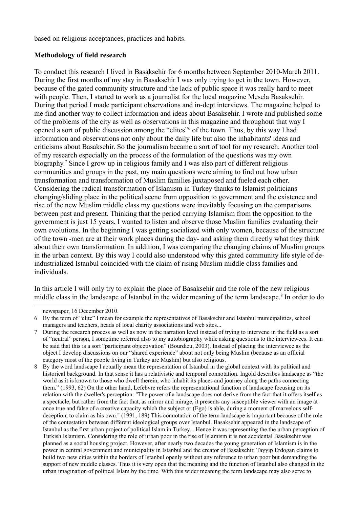based on religious acceptances, practices and habits.

### **Methodology of field research**

To conduct this research I lived in Basaksehir for 6 months between September 2010-March 2011. During the first months of my stay in Basaksehir I was only trying to get in the town. However, because of the gated community structure and the lack of public space it was really hard to meet with people. Then, I started to work as a journalist for the local magazine Mesela Basaksehir. During that period I made participant observations and in-dept interviews. The magazine helped to me find another way to collect information and ideas about Basaksehir. I wrote and published some of the problems of the city as well as observations in this magazine and throughout that way I opened a sort of public discussion among the "elites" of the town. Thus, by this way I had information and observations not only about the daily life but also the inhabitants' ideas and criticisms about Basaksehir. So the journalism became a sort of tool for my research. Another tool of my research especially on the process of the formulation of the questions was my own biography.7 Since I grow up in religious family and I was also part of different religious communities and groups in the past, my main questions were aiming to find out how urban transformation and transformation of Muslim families juxtaposed and fueled each other. Considering the radical transformation of Islamism in Turkey thanks to Islamist politicians changing/sliding place in the political scene from opposition to government and the existence and rise of the new Muslim middle class my questions were inevitably focusing on the comparisons between past and present. Thinking that the period carrying Islamism from the opposition to the government is just 15 years, I wanted to listen and observe those Muslim families evaluating their own evolutions. In the beginning I was getting socialized with only women, because of the structure of the town -men are at their work places during the day- and asking them directly what they think about their own transformation. In addition, I was comparing the changing claims of Muslim groups in the urban context. By this way I could also understood why this gated community life style of deindustrialized Istanbul coincided with the claim of rising Muslim middle class families and individuals.

In this article I will only try to explain the place of Basaksehir and the role of the new religious middle class in the landscape of Istanbul in the wider meaning of the term landscape.<sup>8</sup> In order to do

newspaper, 16 December 2010.

<sup>6</sup> By the term of "elite" I mean for example the representatives of Basaksehir and Istanbul municipalities, school managers and teachers, heads of local charity associations and web sites...

<sup>7</sup> During the research process as well as now in the narration level instead of trying to intervene in the field as a sort of "neutral" person, I sometime referred also to my autobiography while asking questions to the interviewees. It can be said that this is a sort "participant objectivation" (Bourdieu, 2003). Instead of placing the interviewee as the object I develop discussions on our "shared experience" about not only being Muslim (because as an official category most of the people living in Turkey are Muslim) but also religious.

<sup>8</sup> By the word landscape I actually mean the representation of Istanbul in the global context with its political and historical background. In that sense it has a relativistic and temporal connotation. Ingold describes landscape as "the world as it is known to those who dwell therein, who inhabit its places and journey along the paths connecting them." (1993, 62) On the other hand, Lefebvre refers the representational function of landscape focusing on its relation with the dweller's perception: "The power of a landscape does not derive from the fact that it offers itself as a spectacle, but rather from the fact that, as mirror and mirage, it presents any susceptible viewer with an image at once true and false of a creative capacity which the subject or (Ego) is able, during a moment of marvelous selfdeception, to claim as his own." (1991, 189) This connotation of the term landscape is important because of the role of the contestation between different ideological groups over Istanbul. Basaksehir appeared in the landscape of Istanbul as the first urban project of political Islam in Turkey... Hence it was representing the the urban perception of Turkish Islamism. Considering the role of urban poor in the rise of Islamism it is not accidental Basaksehir was planned as a social housing project. However, after nearly two decades the young generation of Islamism is in the power in central government and municipality in Istanbul and the creator of Basaksehir, Tayyip Erdogan claims to build two new cities within the borders of Istanbul openly without any reference to urban poor but demanding the support of new middle classes. Thus it is very open that the meaning and the function of Istanbul also changed in the urban imagination of political Islam by the time. With this wider meaning the term landscape may also serve to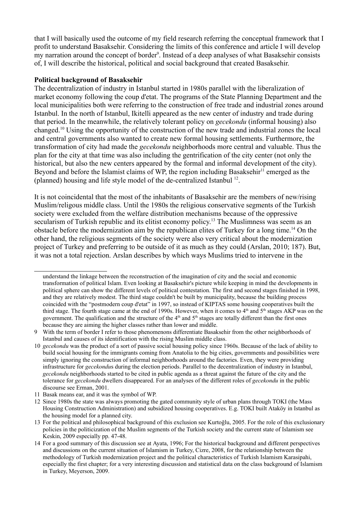that I will basically used the outcome of my field research referring the conceptual framework that I profit to understand Basaksehir. Considering the limits of this conference and article I will develop my narration around the concept of border<sup>9</sup>. Instead of a deep analyses of what Basaksehir consists of, I will describe the historical, political and social background that created Basaksehir.

#### **Political background of Basaksehir**

The decentralization of industry in Istanbul started in 1980s parallel with the liberalization of market economy following the coup d'etat. The programs of the State Planning Department and the local municipalities both were referring to the construction of free trade and industrial zones around Istanbul. In the north of Istanbul, Ikitelli appeared as the new center of industry and trade during that period. In the meanwhile, the relatively tolerant policy on *gecekondu* (informal housing) also changed.10 Using the opportunity of the construction of the new trade and industrial zones the local and central governments also wanted to create new formal housing settlements. Furthermore, the transformation of city had made the *gecekondu* neighborhoods more central and valuable. Thus the plan for the city at that time was also including the gentrification of the city center (not only the historical, but also the new centers appeared by the formal and informal development of the city). Beyond and before the Islamist claims of WP, the region including Basaksehir<sup>11</sup> emerged as the (planned) housing and life style model of the de-centralized Istanbul 12.

It is not coincidental that the most of the inhabitants of Basaksehir are the members of new/rising Muslim/religous middle class. Until the 1980s the religious conservative segments of the Turkish society were excluded from the welfare distribution mechanisms because of the oppressive secularism of Turkish republic and its elitist economy policy.<sup>13</sup> The Muslimness was seem as an obstacle before the modernization aim by the republican elites of Turkey for a long time.14 On the other hand, the religious segments of the society were also very critical about the modernization project of Turkey and preferring to be outside of it as much as they could (Arslan, 2010; 187). But, it was not a total rejection. Arslan describes by which ways Muslims tried to intervene in the

understand the linkage between the reconstruction of the imagination of city and the social and economic transformation of political Islam. Even looking at Basaksehir's picture while keeping in mind the developments in political sphere can show the different levels of political contestation. The first and second stages finished in 1998, and they are relatively modest. The third stage couldn't be built by municipality, because the building process coincided with the "postmodern coup d'etat" in 1997, so instead of KIPTAS some housing cooperatives built the third stage. The fourth stage came at the end of 1990s. However, when it comes to  $4<sup>th</sup>$  and  $5<sup>th</sup>$  stages AKP was on the government. The qualification and the structure of the  $4<sup>th</sup>$  and  $5<sup>th</sup>$  stages are totally different than the first ones because they are aiming the higher classes rather than lower and middle.

<sup>9</sup> With the term of border I refer to those phenomenons differentiate Basaksehir from the other neighborhoods of Istanbul and causes of its identification with the rising Muslim middle class.

<sup>10</sup> *gecekondu* was the product of a sort of passive social housing policy since 1960s. Because of the lack of ability to build social housing for the immigrants coming from Anatolia to the big cities, governments and possibilities were simply ignoring the construction of informal neighborhoods around the factories. Even, they were providing infrastructure for *gecekondu*s during the election periods. Parallel to the decentralization of industry in Istanbul, *gecekondu* neighborhoods started to be cited in public agenda as a threat against the future of the city and the tolerance for *gecekondu* dwellers disappeared. For an analyses of the different roles of *gecekondu* in the public discourse see Erman, 2001.

<sup>11</sup> Basak means ear, and it was the symbol of WP.

<sup>12</sup> Since 1980s the state was always promoting the gated community style of urban plans through TOKI (the Mass Housing Construction Administration) and subsidized housing cooperatives. E.g. TOKI built Ataköy in Istanbul as the housing model for a planned city.

<sup>13</sup> For the political and philosophical background of this exclusion see Kurtoğlu, 2005. For the role of this exclusionary policies in the politicization of the Muslim segments of the Turkish society and the current state of Islamism see Keskin, 2009 especially pp. 47-48.

<sup>14</sup> For a good summary of this discussion see at Ayata, 1996; For the historical background and different perspectives and discussions on the current situation of Islamism in Turkey, Cizre, 2008, for the relationship between the methodology of Turkish modernization project and the political characteristics of Turkish Islamism Karasipahi, especially the first chapter; for a very interesting discussion and statistical data on the class background of Islamism in Turkey, Meyerson, 2009.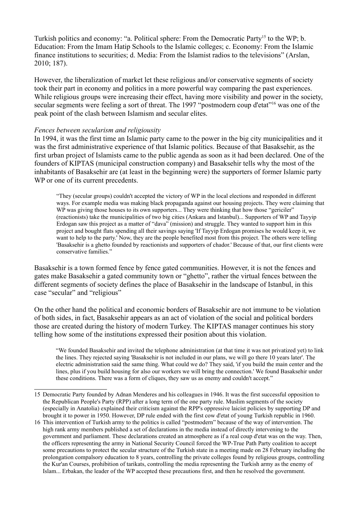Turkish politics and economy: "a. Political sphere: From the Democratic Party<sup>15</sup> to the WP; b. Education: From the Imam Hatip Schools to the Islamic colleges; c. Economy: From the Islamic finance institutions to securities; d. Media: From the Islamist radios to the televisions" (Arslan, 2010; 187).

However, the liberalization of market let these religious and/or conservative segments of society took their part in economy and politics in a more powerful way comparing the past experiences. While religious groups were increasing their effect, having more visibility and power in the society, secular segments were feeling a sort of threat. The 1997 "postmodern coup d'etat"<sup>16</sup> was one of the peak point of the clash between Islamism and secular elites.

#### *Fences between secularism and religiousity*

In 1994, it was the first time an Islamic party came to the power in the big city municipalities and it was the first administrative experience of that Islamic politics. Because of that Basaksehir, as the first urban project of Islamists came to the public agenda as soon as it had been declared. One of the founders of KIPTAS (municipal construction company) and Basaksehir tells why the most of the inhabitants of Basaksehir are (at least in the beginning were) the supporters of former Islamic party WP or one of its current precedents.

"They (secular groups) couldn't accepted the victory of WP in the local elections and responded in different ways. For example media was making black propaganda against our housing projects. They were claiming that WP was giving those houses to its own supporters... They were thinking that how those "gericiler" (reactionists) take the municipalities of two big cities (Ankara and Istanbul)... Supporters of WP and Tayyip Erdogan saw this project as a matter of "dava" (mission) and struggle. They wanted to support him in this project and bought flats spending all their savings saying 'If Tayyip Erdogan promises he would keep it, we want to help to the party.' Now, they are the people benefited most from this project. The others were telling 'Basaksehir is a ghetto founded by reactionists and supporters of chador.' Because of that, our first clients were conservative families."

Basaksehir is a town formed fence by fence gated communities. However, it is not the fences and gates make Basaksehir a gated community town or "ghetto", rather the virtual fences between the different segments of society defines the place of Basaksehir in the landscape of Istanbul, in this case "secular" and "religious"

On the other hand the political and economic borders of Basaksehir are not immune to be violation of both sides, in fact, Basaksehir appears as an act of violation of the social and political borders those are created during the history of modern Turkey. The KIPTAS manager continues his story telling how some of the institutions expressed their position about this violation.

"We founded Basaksehir and invited the telephone administration (at that time it was not privatized yet) to link the lines. They rejected saying 'Basaksehir is not included in our plans, we will go there 10 years later'. The electric administration said the same thing. What could we do? They said, 'if you build the main center and the lines, plus if you build housing for also our workers we will bring the connection.' We found Basaksehir under these conditions. There was a form of cliques, they saw us as enemy and couldn't accept."

<sup>15</sup> Democratic Party founded by Adnan Menderes and his colleagues in 1946. It was the first successful opposition to the Republican People's Party (RPP) after a long term of the one party rule. Muslim segments of the society (especially in Anatolia) explained their criticism against the RPP's oppressive laicist policies by supporting DP and brought it to power in 1950. However, DP rule ended with the first cow d'etat of young Turkish republic in 1960.

<sup>16</sup> This intervention of Turkish army to the politics is called "postmodern" because of the way of intervention. The high rank army members published a set of declarations in the media instead of directly intervening to the government and parliament. These declarations created an atmosphere as if a real coup d'etat was on the way. Then, the officers representing the army in National Security Council forced the WP-True Path Party coalition to accept some precautions to protect the secular structure of the Turkish state in a meeting made on 28 February including the prolongation compalsory education to 8 years, controlling the private colleges found by religious groups, controlling the Kur'an Courses, prohibition of tarikats, controlling the media representing the Turkish army as the enemy of Islam... Erbakan, the leader of the WP accepted these precautions first, and then he resolved the government.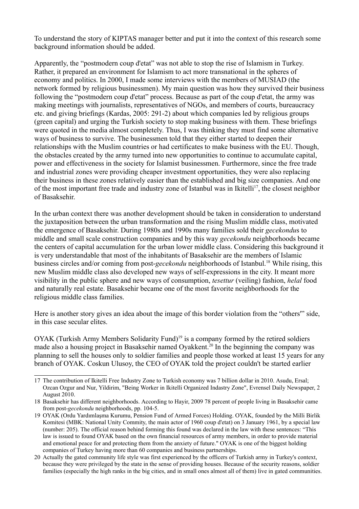To understand the story of KIPTAS manager better and put it into the context of this research some background information should be added.

Apparently, the "postmodern coup d'etat" was not able to stop the rise of Islamism in Turkey. Rather, it prepared an environment for Islamism to act more transnational in the spheres of economy and politics. In 2000, I made some interviews with the members of MUSIAD (the network formed by religious businessmen). My main question was how they survived their business following the "postmodern coup d'etat" process. Because as part of the coup d'etat, the army was making meetings with journalists, representatives of NGOs, and members of courts, bureaucracy etc. and giving briefings (Kardas, 2005: 291-2) about which companies led by religious groups (green capital) and urging the Turkish society to stop making business with them. These briefings were quoted in the media almost completely. Thus, I was thinking they must find some alternative ways of business to survive. The businessmen told that they either started to deepen their relationships with the Muslim countries or had certificates to make business with the EU. Though, the obstacles created by the army turned into new opportunities to continue to accumulate capital, power and effectiveness in the society for Islamist businessmen. Furthermore, since the free trade and industrial zones were providing cheaper investment opportunities, they were also replacing their business in these zones relatively easier than the established and big size companies. And one of the most important free trade and industry zone of Istanbul was in Ikitelli<sup>17</sup>, the closest neighbor of Basaksehir.

In the urban context there was another development should be taken in consideration to understand the juxtaposition between the urban transformation and the rising Muslim middle class, motivated the emergence of Basaksehir. During 1980s and 1990s many families sold their *gecekondu*s to middle and small scale construction companies and by this way *gecekondu* neighborhoods became the centers of capital accumulation for the urban lower middle class. Considering this background it is very understandable that most of the inhabitants of Basaksehir are the members of Islamic business circles and/or coming from post-*gecekondu* neighborhoods of Istanbul.<sup>18</sup> While rising, this new Muslim middle class also developed new ways of self-expressions in the city. It meant more visibility in the public sphere and new ways of consumption, *tesettur* (veiling) fashion, *helal* food and naturally real estate. Basaksehir became one of the most favorite neighborhoods for the religious middle class families.

Here is another story gives an idea about the image of this border violation from the "others'" side, in this case secular elites.

OYAK (Turkish Army Members Solidarity Fund)<sup>19</sup> is a company formed by the retired soldiers made also a housing project in Basaksehir named Oyakkent.<sup>20</sup> In the beginning the company was planning to sell the houses only to soldier families and people those worked at least 15 years for any branch of OYAK. Coskun Ulusoy, the CEO of OYAK told the project couldn't be started earlier

<sup>17</sup> The contribution of Ikitelli Free Industry Zone to Turkish economy was 7 billion dollar in 2010. Asudu, Ersal; Ozcan Ozgur and Nur, Yildirim, "Being Worker in Ikitelli Organized Indastry Zone", Evrensel Daily Newspaper, 2 August 2010.

<sup>18</sup> Basaksehir has different neighborhoods. According to Hayir, 2009 78 percent of people living in Basaksehir came from post-*gecekondu* neighborhoods, pp. 104-5.

<sup>19</sup> OYAK (Ordu Yardımlaşma Kurumu, Pension Fund of Armed Forces) Holding. OYAK, founded by the Milli Birlik Komitesi (MBK: National Unity Commity, the main actor of 1960 coup d'etat) on 3 January 1961, by a special law (number: 205). The official reason behind forming this found was declared in the law with these sentences: "This law is issued to found OYAK based on the own financial resources of army members, in order to provide material and emotional peace for and protecting them from the anxiety of future." OYAK is one of the biggest holding companies of Turkey having more than 60 companies and business partnerships.

<sup>20</sup> Actually the gated community life style was first experienced by the officers of Turkish army in Turkey's context, because they were privileged by the state in the sense of providing houses. Because of the security reasons, soldier families (especially the high ranks in the big cities, and in small ones almost all of them) live in gated communities.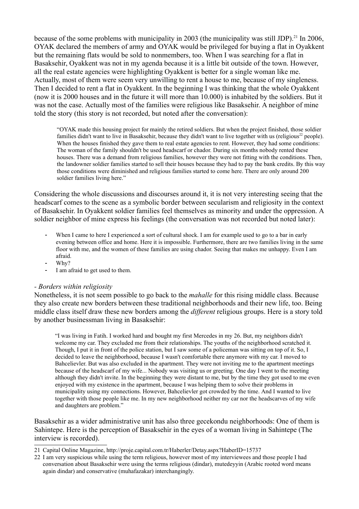because of the some problems with municipality in 2003 (the municipality was still JDP).<sup>21</sup> In 2006, OYAK declared the members of army and OYAK would be privileged for buying a flat in Oyakkent but the remaining flats would be sold to nonmembers, too. When I was searching for a flat in Basaksehir, Oyakkent was not in my agenda because it is a little bit outside of the town. However, all the real estate agencies were highlighting Oyakkent is better for a single woman like me. Actually, most of them were seem very unwilling to rent a house to me, because of my singleness. Then I decided to rent a flat in Oyakkent. In the beginning I was thinking that the whole Oyakkent (now it is 2000 houses and in the future it will more than 10.000) is inhabited by the soldiers. But it was not the case. Actually most of the families were religious like Basaksehir. A neighbor of mine told the story (this story is not recorded, but noted after the conversation):

"OYAK made this housing project for mainly the retired soldiers. But when the project finished, those soldier families didn't want to live in Basaksehir, because they didn't want to live together with us (religious<sup>22</sup> people). When the houses finished they gave them to real estate agencies to rent. However, they had some conditions: The woman of the family shouldn't be used headscarf or chador. During six months nobody rented these houses. There was a demand from religious families, however they were not fitting with the conditions. Then, the landowner soldier families started to sell their houses because they had to pay the bank credits. By this way those conditions were diminished and religious families started to come here. There are only around 200 soldier families living here."

Considering the whole discussions and discourses around it, it is not very interesting seeing that the headscarf comes to the scene as a symbolic border between secularism and religiosity in the context of Basaksehir. In Oyakkent soldier families feel themselves as minority and under the oppression. A soldier neighbor of mine express his feelings (the conversation was not recorded but noted later):

- When I came to here I experienced a sort of cultural shock. I am for example used to go to a bar in early evening between office and home. Here it is impossible. Furthermore, there are two families living in the same floor with me, and the women of these families are using chador. Seeing that makes me unhappy. Even I am afraid.
- $-Whv?$
- I am afraid to get used to them.

#### *- Borders within religiosity*

Nonetheless, it is not seem possible to go back to the *mahalle* for this rising middle class. Because they also create new borders between these traditional neighborhoods and their new life, too. Being middle class itself draw these new borders among the *different* religious groups. Here is a story told by another businessman living in Basaksehir:

"I was living in Fatih. I worked hard and bought my first Mercedes in my 26. But, my neighbors didn't welcome my car. They excluded me from their relationships. The youths of the neighborhood scratched it. Though, I put it in front of the police station, but I saw some of a policeman was sitting on top of it. So, I decided to leave the neighborhood, because I wasn't comfortable there anymore with my car. I moved to Bahcelievler. But was also excluded in the apartment. They were not inviting me to the apartment meetings because of the headscarf of my wife... Nobody was visiting us or greeting. One day I went to the meeting although they didn't invite. In the beginning they were distant to me, but by the time they got used to me even enjoyed with my existence in the apartment, because I was helping them to solve their problems in municipality using my connections. However, Bahcelievler got crowded by the time. And I wanted to live together with those people like me. In my new neighborhood neither my car nor the headscarves of my wife and daughters are problem."

Basaksehir as a wider administrative unit has also three gecekondu neighborhoods: One of them is Sahintepe. Here is the perception of Basaksehir in the eyes of a woman living in Sahintepe (The interview is recorded).

- 21 Capital Online Magazine, http://proje.capital.com.tr/Haberler/Detay.aspx?HaberID=15737
- 22 I am very suspicious while using the term religious, however most of my interviewees and those people I had conversation about Basaksehir were using the terms religious (dindar), mutedeyyin (Arabic rooted word means again dindar) and conservative (muhafazakar) interchangingly.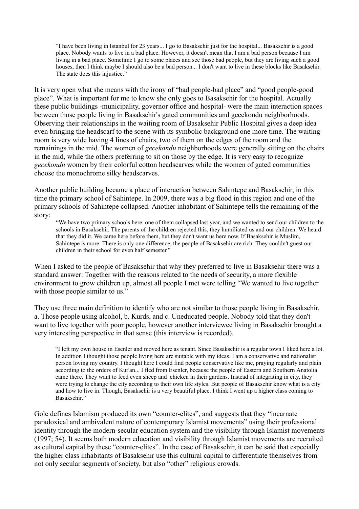"I have been living in Istanbul for 23 years... I go to Basaksehir just for the hospital... Basaksehir is a good place. Nobody wants to live in a bad place. However, it doesn't mean that I am a bad person because I am living in a bad place. Sometime I go to some places and see those bad people, but they are living such a good houses, then I think maybe I should also be a bad person... I don't want to live in these blocks like Basaksehir. The state does this injustice."

It is very open what she means with the irony of "bad people-bad place" and "good people-good place". What is important for me to know she only goes to Basaksehir for the hospital. Actually these public buildings -municipality, governor office and hospital- were the main interaction spaces between those people living in Basaksehir's gated communities and gecekondu neighborhoods. Observing their relationships in the waiting room of Basaksehir Public Hospital gives a deep idea even bringing the headscarf to the scene with its symbolic background one more time. The waiting room is very wide having 4 lines of chairs, two of them on the edges of the room and the remainings in the mid. The women of *gecekondu* neighborhoods were generally sitting on the chairs in the mid, while the others preferring to sit on those by the edge. It is very easy to recognize *gecekondu* women by their colorful cotton headscarves while the women of gated communities choose the monochrome silky headscarves.

Another public building became a place of interaction between Sahintepe and Basaksehir, in this time the primary school of Sahintepe. In 2009, there was a big flood in this region and one of the primary schools of Sahintepe collapsed. Another inhabitant of Sahintepe tells the remaining of the story:

"We have two primary schools here, one of them collapsed last year, and we wanted to send our children to the schools in Basaksehir. The parents of the children rejected this, they humiliated us and our children. We heard that they did it. We came here before them, but they don't want us here now. If Basaksehir is Muslim, Sahintepe is more. There is only one difference, the people of Basaksehir are rich. They couldn't guest our children in their school for even half semester."

When I asked to the people of Basaksehir that why they preferred to live in Basaksehir there was a standard answer: Together with the reasons related to the needs of security, a more flexible environment to grow children up, almost all people I met were telling "We wanted to live together with those people similar to us."

They use three main definition to identify who are not similar to those people living in Basaksehir. a. Those people using alcohol, b. Kurds, and c. Uneducated people. Nobody told that they don't want to live together with poor people, however another interviewee living in Basaksehir brought a very interesting perspective in that sense (this interview is recorded).

"I left my own house in Esenler and moved here as tenant. Since Basaksehir is a regular town I liked here a lot. In addition I thought those people living here are suitable with my ideas. I am a conservative and nationalist person loving my country. I thought here I could find people conservative like me, praying regularly and plain according to the orders of Kur'an... I fled from Esenler, because the people of Eastern and Southern Anatolia came there. They want to feed even sheep and chicken in their gardens. Instead of integrating in city, they were trying to change the city according to their own life styles. But people of Basaksehir know what is a city and how to live in. Though, Basaksehir is a very beautiful place. I think I went up a higher class coming to Basaksehir."

Gole defines Islamism produced its own "counter-elites", and suggests that they "incarnate" paradoxical and ambivalent nature of contemporary Islamist movements" using their professional identity through the modern-secular education system and the visibility through Islamist movements (1997; 54). It seems both modern education and visibility through Islamist movements are recruited as cultural capital by these "counter-elites". In the case of Basaksehir, it can be said that especially the higher class inhabitants of Basaksehir use this cultural capital to differentiate themselves from not only secular segments of society, but also "other" religious crowds.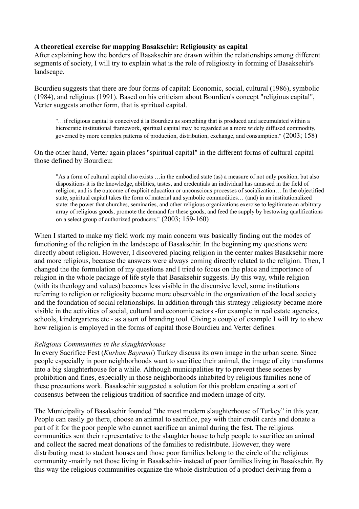### **A theoretical exercise for mapping Basaksehir: Religiousity as capital**

After explaining how the borders of Basaksehir are drawn within the relationships among different segments of society, I will try to explain what is the role of religiosity in forming of Basaksehir's landscape.

Bourdieu suggests that there are four forms of capital: Economic, social, cultural (1986), symbolic (1984), and religious (1991). Based on his criticism about Bourdieu's concept "religious capital", Verter suggests another form, that is spiritual capital.

"…if religious capital is conceived á la Bourdieu as something that is produced and accumulated within a hierocratic institutional framework, spiritual capital may be regarded as a more widely diffused commodity, governed by more complex patterns of production, distribution, exchange, and consumption." (2003; 158)

On the other hand, Verter again places "spiritual capital" in the different forms of cultural capital those defined by Bourdieu:

"As a form of cultural capital also exists …in the embodied state (as) a measure of not only position, but also dispositions it is the knowledge, abilities, tastes, and credentials an individual has amassed in the field of religion, and is the outcome of explicit education or unconscious processes of socialization… In the objectified state, spiritual capital takes the form of material and symbolic commodities… (and) in an institutionalized state: the power that churches, seminaries, and other religious organizations exercise to legitimate an arbitrary array of religious goods, promote the demand for these goods, and feed the supply by bestowing qualifications on a select group of authorized producers." (2003; 159-160)

When I started to make my field work my main concern was basically finding out the modes of functioning of the religion in the landscape of Basaksehir. In the beginning my questions were directly about religion. However, I discovered placing religion in the center makes Basaksehir more and more religious, because the answers were always coming directly related to the religion. Then, I changed the the formulation of my questions and I tried to focus on the place and importance of religion in the whole package of life style that Basaksehir suggests. By this way, while religion (with its theology and values) becomes less visible in the discursive level, some institutions referring to religion or religiosity became more observable in the organization of the local society and the foundation of social relationships. In addition through this strategy religiosity became more visible in the activities of social, cultural and economic actors -for example in real estate agencies, schools, kindergartens etc.- as a sort of branding tool. Giving a couple of example I will try to show how religion is employed in the forms of capital those Bourdieu and Verter defines.

#### *Religious Communities in the slaughterhouse*

In every Sacrifice Fest (*Kurban Bayrami*) Turkey discuss its own image in the urban scene. Since people especially in poor neighborhoods want to sacrifice their animal, the image of city transforms into a big slaughterhouse for a while. Although municipalities try to prevent these scenes by prohibition and fines, especially in those neighborhoods inhabited by religious families none of these precautions work. Basaksehir suggested a solution for this problem creating a sort of consensus between the religious tradition of sacrifice and modern image of city.

The Municipality of Basaksehir founded "the most modern slaughterhouse of Turkey" in this year. People can easily go there, choose an animal to sacrifice, pay with their credit cards and donate a part of it for the poor people who cannot sacrifice an animal during the fest. The religious communities sent their representative to the slaughter house to help people to sacrifice an animal and collect the sacred meat donations of the families to redistribute. However, they were distributing meat to student houses and those poor families belong to the circle of the religious community -mainly not those living in Basaksehir- instead of poor families living in Basaksehir. By this way the religious communities organize the whole distribution of a product deriving from a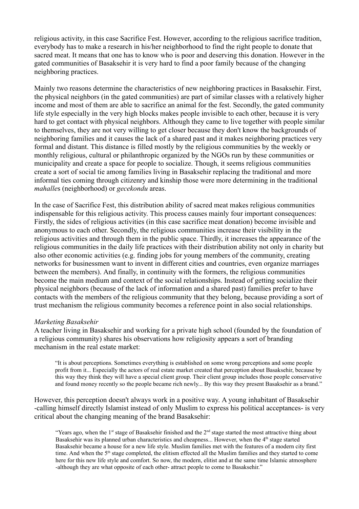religious activity, in this case Sacrifice Fest. However, according to the religious sacrifice tradition, everybody has to make a research in his/her neighborhood to find the right people to donate that sacred meat. It means that one has to know who is poor and deserving this donation. However in the gated communities of Basaksehir it is very hard to find a poor family because of the changing neighboring practices.

Mainly two reasons determine the characteristics of new neighboring practices in Basaksehir. First, the physical neighbors (in the gated communities) are part of similar classes with a relatively higher income and most of them are able to sacrifice an animal for the fest. Secondly, the gated community life style especially in the very high blocks makes people invisible to each other, because it is very hard to get contact with physical neighbors. Although they came to live together with people similar to themselves, they are not very willing to get closer because they don't know the backgrounds of neighboring families and it causes the lack of a shared past and it makes neighboring practices very formal and distant. This distance is filled mostly by the religious communities by the weekly or monthly religious, cultural or philanthropic organized by the NGOs run by these communities or municipality and create a space for people to socialize. Though, it seems religious communities create a sort of social tie among families living in Basaksehir replacing the traditional and more informal ties coming through citizenry and kinship those were more determining in the traditional *mahalle*s (neighborhood) or *gecekondu* areas.

In the case of Sacrifice Fest, this distribution ability of sacred meat makes religious communities indispensable for this religious activity. This process causes mainly four important consequences: Firstly, the sides of religious activities (in this case sacrifice meat donation) become invisible and anonymous to each other. Secondly, the religious communities increase their visibility in the religious activities and through them in the public space. Thirdly, it increases the appearance of the religious communities in the daily life practices with their distribution ability not only in charity but also other economic activities (e.g. finding jobs for young members of the community, creating networks for businessmen want to invent in different cities and countries, even organize marriages between the members). And finally, in continuity with the formers, the religious communities become the main medium and context of the social relationships. Instead of getting socialize their physical neighbors (because of the lack of information and a shared past) families prefer to have contacts with the members of the religious community that they belong, because providing a sort of trust mechanism the religious community becomes a reference point in also social relationships.

#### *Marketing Basaksehir*

A teacher living in Basaksehir and working for a private high school (founded by the foundation of a religious community) shares his observations how religiosity appears a sort of branding mechanism in the real estate market:

"It is about perceptions. Sometimes everything is established on some wrong perceptions and some people profit from it... Especially the actors of real estate market created that perception about Basaksehir, because by this way they think they will have a special client group. Their client group includes those people conservative and found money recently so the people became rich newly... By this way they present Basaksehir as a brand."

However, this perception doesn't always work in a positive way. A young inhabitant of Basaksehir -calling himself directly Islamist instead of only Muslim to express his political acceptances- is very critical about the changing meaning of the brand Basaksehir:

"Years ago, when the 1<sup>st</sup> stage of Basaksehir finished and the  $2<sup>nd</sup>$  stage started the most attractive thing about Basaksehir was its planned urban characteristics and cheapness... However, when the 4<sup>th</sup> stage started Basaksehir became a house for a new life style. Muslim families met with the features of a modern city first time. And when the 5<sup>th</sup> stage completed, the elitism effected all the Muslim families and they started to come here for this new life style and comfort. So now, the modern, elitist and at the same time Islamic atmosphere -although they are what opposite of each other- attract people to come to Basaksehir."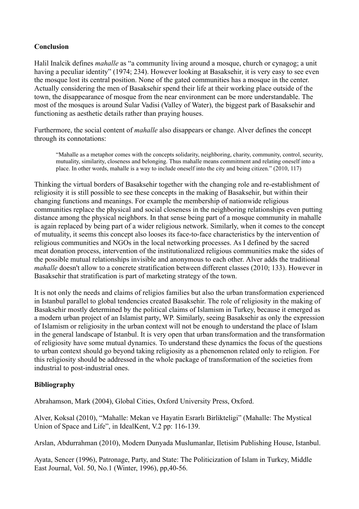## **Conclusion**

Halil Inalcik defines *mahalle* as "a community living around a mosque, church or cynagog; a unit having a peculiar identity" (1974; 234). However looking at Basaksehir, it is very easy to see even the mosque lost its central position. None of the gated communities has a mosque in the center. Actually considering the men of Basaksehir spend their life at their working place outside of the town, the disappearance of mosque from the near environment can be more understandable. The most of the mosques is around Sular Vadisi (Valley of Water), the biggest park of Basaksehir and functioning as aesthetic details rather than praying houses.

Furthermore, the social content of *mahalle* also disappears or change. Alver defines the concept through its connotations:

"Mahalle as a metaphor comes with the concepts solidarity, neighboring, charity, community, control, security, mutuality, similarity, closeness and belonging. Thus mahalle means commitment and relating oneself into a place. In other words, mahalle is a way to include oneself into the city and being citizen." (2010, 117)

Thinking the virtual borders of Basaksehir together with the changing role and re-establishment of religiosity it is still possible to see these concepts in the making of Basaksehir, but within their changing functions and meanings. For example the membership of nationwide religious communities replace the physical and social closeness in the neighboring relationships even putting distance among the physical neighbors. In that sense being part of a mosque community in mahalle is again replaced by being part of a wider religious network. Similarly, when it comes to the concept of mutuality, it seems this concept also looses its face-to-face characteristics by the intervention of religious communities and NGOs in the local networking processes. As I defined by the sacred meat donation process, intervention of the institutionalized religious communities make the sides of the possible mutual relationships invisible and anonymous to each other. Alver adds the traditional *mahalle* doesn't allow to a concrete stratification between different classes (2010; 133). However in Basaksehir that stratification is part of marketing strategy of the town.

It is not only the needs and claims of religios families but also the urban transformation experienced in Istanbul parallel to global tendencies created Basaksehir. The role of religiosity in the making of Basaksehir mostly determined by the political claims of Islamism in Turkey, because it emerged as a modern urban project of an Islamist party, WP. Similarly, seeing Basaksehir as only the expression of Islamism or religiosity in the urban context will not be enough to understand the place of Islam in the general landscape of Istanbul. It is very open that urban transformation and the transformation of religiosity have some mutual dynamics. To understand these dynamics the focus of the questions to urban context should go beyond taking religiosity as a phenomenon related only to religion. For this religiosity should be addressed in the whole package of transformation of the societies from industrial to post-industrial ones.

## **Bibliography**

Abrahamson, Mark (2004), Global Cities, Oxford University Press, Oxford.

Alver, Koksal (2010), "Mahalle: Mekan ve Hayatin Esrarlı Birlikteligi" (Mahalle: The Mystical Union of Space and Life", in IdealKent, V.2 pp: 116-139.

Arslan, Abdurrahman (2010), Modern Dunyada Muslumanlar, Iletisim Publishing House, Istanbul.

Ayata, Sencer (1996), Patronage, Party, and State: The Politicization of Islam in Turkey, Middle East Journal, Vol. 50, No.1 (Winter, 1996), pp,40-56.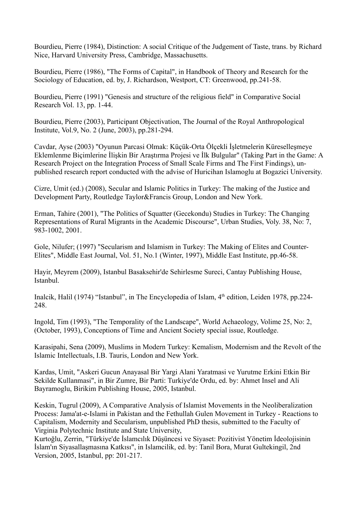Bourdieu, Pierre (1984), Distinction: A social Critique of the Judgement of Taste, trans. by Richard Nice, Harvard University Press, Cambridge, Massachusetts.

Bourdieu, Pierre (1986), "The Forms of Capital", in Handbook of Theory and Research for the Sociology of Education, ed. by, J. Richardson, Westport, CT: Greenwood, pp.241-58.

Bourdieu, Pierre (1991) "Genesis and structure of the religious field" in Comparative Social Research Vol. 13, pp. 1-44.

Bourdieu, Pierre (2003), Participant Objectivation, The Journal of the Royal Anthropological Institute, Vol.9, No. 2 (June, 2003), pp.281-294.

Cavdar, Ayse (2003) "Oyunun Parcasi Olmak: Küçük-Orta Ölçekli İşletmelerin Küreselleşmeye Eklemlenme Biçimlerine İlişkin Bir Araştırma Projesi ve İlk Bulgular" (Taking Part in the Game: A Research Project on the Integration Process of Small Scale Firms and The First Findings), unpublished research report conducted with the advise of Huricihan Islamoglu at Bogazici University.

Cizre, Umit (ed.) (2008), Secular and Islamic Politics in Turkey: The making of the Justice and Development Party, Routledge Taylor&Francis Group, London and New York.

Erman, Tahire (2001), "The Politics of Squatter (Gecekondu) Studies in Turkey: The Changing Representations of Rural Migrants in the Academic Discourse", Urban Studies, Voly. 38, No: 7, 983-1002, 2001.

Gole, Nilufer; (1997) "Secularism and Islamism in Turkey: The Making of Elites and Counter-Elites", Middle East Journal, Vol. 51, No.1 (Winter, 1997), Middle East Institute, pp.46-58.

Hayir, Meyrem (2009), Istanbul Basaksehir'de Sehirlesme Sureci, Cantay Publishing House, Istanbul.

Inalcik, Halil (1974) "Istanbul", in The Encyclopedia of Islam,  $4<sup>th</sup>$  edition, Leiden 1978, pp.224-248.

Ingold, Tim (1993), "The Temporality of the Landscape", World Achaeology, Volime 25, No: 2, (October, 1993), Conceptions of Time and Ancient Society special issue, Routledge.

Karasipahi, Sena (2009), Muslims in Modern Turkey: Kemalism, Modernism and the Revolt of the Islamic Intellectuals, I.B. Tauris, London and New York.

Kardas, Umit, "Askeri Gucun Anayasal Bir Yargi Alani Yaratmasi ve Yurutme Erkini Etkin Bir Sekilde Kullanmasi", in Bir Zumre, Bir Parti: Turkiye'de Ordu, ed. by: Ahmet Insel and Ali Bayramoglu, Birikim Publishing House, 2005, Istanbul.

Keskin, Tugrul (2009), A Comparative Analysis of Islamist Movements in the Neoliberalization Process: Jama'at-e-Islami in Pakistan and the Fethullah Gulen Movement in Turkey - Reactions to Capitalism, Modernity and Secularism, unpublished PhD thesis, submitted to the Faculty of Virginia Polytechnic Institute and State University,

Kurtoğlu, Zerrin, "Türkiye'de İslamcılık Düşüncesi ve Siyaset: Pozitivist Yönetim İdeolojisinin İslam'ın Siyasallaşmasına Katkısı", in Islamcilik, ed. by: Tanil Bora, Murat Gultekingil, 2nd Version, 2005, Istanbul, pp: 201-217.